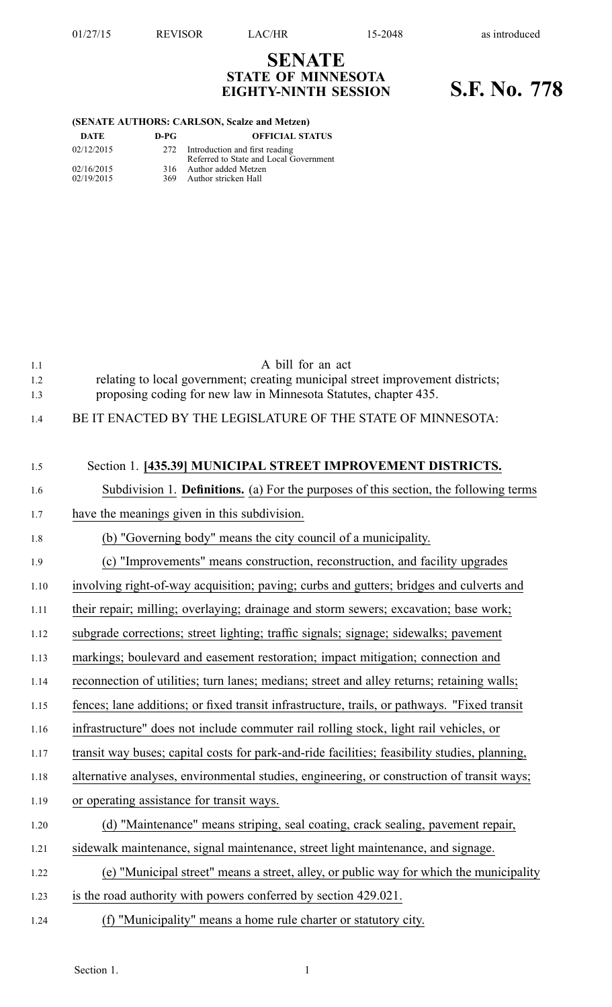## **SENATE STATE OF MINNESOTA EIGHTY-NINTH SESSION S.F. No. 778**

## **(SENATE AUTHORS: CARLSON, Scalze and Metzen)**

| DATE       | D-PG | <b>OFFICIAL STATUS</b>                                                       |
|------------|------|------------------------------------------------------------------------------|
| 02/12/2015 |      | 272 Introduction and first reading<br>Referred to State and Local Government |
| 02/16/2015 |      | 316 Author added Metzen                                                      |
| 02/19/2015 | 369. | Author stricken Hall                                                         |

| 1.1  | A bill for an act                                                                             |
|------|-----------------------------------------------------------------------------------------------|
| 1.2  | relating to local government; creating municipal street improvement districts;                |
| 1.3  | proposing coding for new law in Minnesota Statutes, chapter 435.                              |
| 1.4  | BE IT ENACTED BY THE LEGISLATURE OF THE STATE OF MINNESOTA:                                   |
|      |                                                                                               |
| 1.5  | Section 1. [435.39] MUNICIPAL STREET IMPROVEMENT DISTRICTS.                                   |
| 1.6  | Subdivision 1. Definitions. (a) For the purposes of this section, the following terms         |
| 1.7  | have the meanings given in this subdivision.                                                  |
| 1.8  | (b) "Governing body" means the city council of a municipality.                                |
| 1.9  | (c) "Improvements" means construction, reconstruction, and facility upgrades                  |
| 1.10 | involving right-of-way acquisition; paving; curbs and gutters; bridges and culverts and       |
| 1.11 | their repair; milling; overlaying; drainage and storm sewers; excavation; base work;          |
| 1.12 | subgrade corrections; street lighting; traffic signals; signage; sidewalks; pavement          |
| 1.13 | markings; boulevard and easement restoration; impact mitigation; connection and               |
| 1.14 | reconnection of utilities; turn lanes; medians; street and alley returns; retaining walls;    |
| 1.15 | fences; lane additions; or fixed transit infrastructure, trails, or pathways. "Fixed transit  |
| 1.16 | infrastructure" does not include commuter rail rolling stock, light rail vehicles, or         |
| 1.17 | transit way buses; capital costs for park-and-ride facilities; feasibility studies, planning, |
| 1.18 | alternative analyses, environmental studies, engineering, or construction of transit ways;    |
| 1.19 | or operating assistance for transit ways.                                                     |
| 1.20 | (d) "Maintenance" means striping, seal coating, crack sealing, pavement repair,               |
| 1.21 | sidewalk maintenance, signal maintenance, street light maintenance, and signage.              |
| 1.22 | (e) "Municipal street" means a street, alley, or public way for which the municipality        |
| 1.23 | is the road authority with powers conferred by section 429.021.                               |
| 1.24 | (f) "Municipality" means a home rule charter or statutory city.                               |
|      |                                                                                               |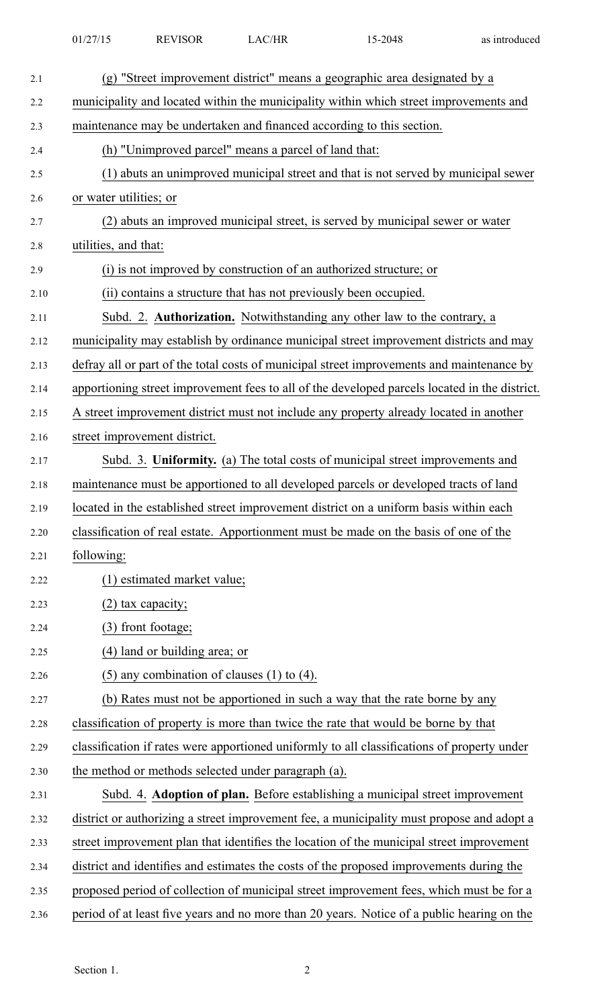| as introduced |
|---------------|
|               |

| 2.1  | (g) "Street improvement district" means a geographic area designated by a                     |
|------|-----------------------------------------------------------------------------------------------|
| 2.2  | municipality and located within the municipality within which street improvements and         |
| 2.3  | maintenance may be undertaken and financed according to this section.                         |
| 2.4  | (h) "Unimproved parcel" means a parcel of land that:                                          |
| 2.5  | (1) abuts an unimproved municipal street and that is not served by municipal sewer            |
| 2.6  | or water utilities; or                                                                        |
| 2.7  | (2) abuts an improved municipal street, is served by municipal sewer or water                 |
| 2.8  | utilities, and that:                                                                          |
| 2.9  | (i) is not improved by construction of an authorized structure; or                            |
| 2.10 | (ii) contains a structure that has not previously been occupied.                              |
| 2.11 | Subd. 2. Authorization. Notwithstanding any other law to the contrary, a                      |
| 2.12 | municipality may establish by ordinance municipal street improvement districts and may        |
| 2.13 | defray all or part of the total costs of municipal street improvements and maintenance by     |
| 2.14 | apportioning street improvement fees to all of the developed parcels located in the district. |
| 2.15 | A street improvement district must not include any property already located in another        |
| 2.16 | street improvement district.                                                                  |
| 2.17 | Subd. 3. Uniformity. (a) The total costs of municipal street improvements and                 |
| 2.18 | maintenance must be apportioned to all developed parcels or developed tracts of land          |
| 2.19 | located in the established street improvement district on a uniform basis within each         |
| 2.20 | classification of real estate. Apportionment must be made on the basis of one of the          |
| 2.21 | following:                                                                                    |
| 2.22 | (1) estimated market value;                                                                   |
| 2.23 | $(2)$ tax capacity;                                                                           |
| 2.24 | (3) front footage;                                                                            |
| 2.25 | (4) land or building area; or                                                                 |
| 2.26 | $(5)$ any combination of clauses $(1)$ to $(4)$ .                                             |
| 2.27 | (b) Rates must not be apportioned in such a way that the rate borne by any                    |
| 2.28 | classification of property is more than twice the rate that would be borne by that            |
| 2.29 | classification if rates were apportioned uniformly to all classifications of property under   |
| 2.30 | the method or methods selected under paragraph (a).                                           |
| 2.31 | Subd. 4. Adoption of plan. Before establishing a municipal street improvement                 |
| 2.32 | district or authorizing a street improvement fee, a municipality must propose and adopt a     |
| 2.33 | street improvement plan that identifies the location of the municipal street improvement      |
| 2.34 | district and identifies and estimates the costs of the proposed improvements during the       |
| 2.35 | proposed period of collection of municipal street improvement fees, which must be for a       |
| 2.36 | period of at least five years and no more than 20 years. Notice of a public hearing on the    |